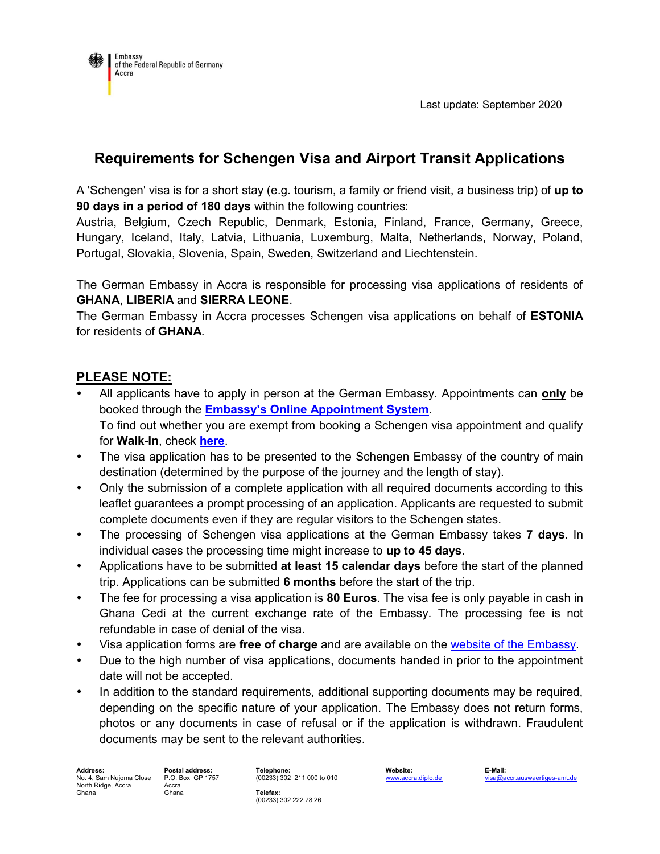

# **Requirements for Schengen Visa and Airport Transit Applications**

A 'Schengen' visa is for a short stay (e.g. tourism, a family or friend visit, a business trip) of **up to 90 days in a period of 180 days** within the following countries:

Austria, Belgium, Czech Republic, Denmark, Estonia, Finland, France, Germany, Greece, Hungary, Iceland, Italy, Latvia, Lithuania, Luxemburg, Malta, Netherlands, Norway, Poland, Portugal, Slovakia, Slovenia, Spain, Sweden, Switzerland and Liechtenstein.

The German Embassy in Accra is responsible for processing visa applications of residents of **GHANA**, **LIBERIA** and **SIERRA LEONE**.

The German Embassy in Accra processes Schengen visa applications on behalf of **ESTONIA** for residents of **GHANA**.

# **PLEASE NOTE:**

- All applicants have to apply in person at the German Embassy. Appointments can **only** be booked through the **[Embassy's Online Appointment System](http://www.accra.diplo.de/appointment)**. To find out whether you are exempt from booking a Schengen visa appointment and qualify for **Walk-In**, check **[here](http://www.accra.diplo.de/appointment)**.
- The visa application has to be presented to the Schengen Embassy of the country of main destination (determined by the purpose of the journey and the length of stay).
- Only the submission of a complete application with all required documents according to this leaflet guarantees a prompt processing of an application. Applicants are requested to submit complete documents even if they are regular visitors to the Schengen states.
- The processing of Schengen visa applications at the German Embassy takes **7 days**. In individual cases the processing time might increase to **up to 45 days**.
- Applications have to be submitted **at least 15 calendar days** before the start of the planned trip. Applications can be submitted **6 months** before the start of the trip.
- The fee for processing a visa application is **80 Euros**. The visa fee is only payable in cash in Ghana Cedi at the current exchange rate of the Embassy. The processing fee is not refundable in case of denial of the visa.
- Visa application forms are **free of charge** and are available on the [website of the Embassy.](https://accra.diplo.de/gh-en/service/t-application-national/1107744)
- Due to the high number of visa applications, documents handed in prior to the appointment date will not be accepted.
- In addition to the standard requirements, additional supporting documents may be required, depending on the specific nature of your application. The Embassy does not return forms, photos or any documents in case of refusal or if the application is withdrawn. Fraudulent documents may be sent to the relevant authorities.

**Address: Postal address: Telephone: Website: E-Mail:** No. 4, Sam Nujoma Close North Ridge, Accra Ghana

P.O. Box GP 1757 Accra Ghana

(00233) 302 211 000 to 010 **Telefax:** (00233) 302 222 78 26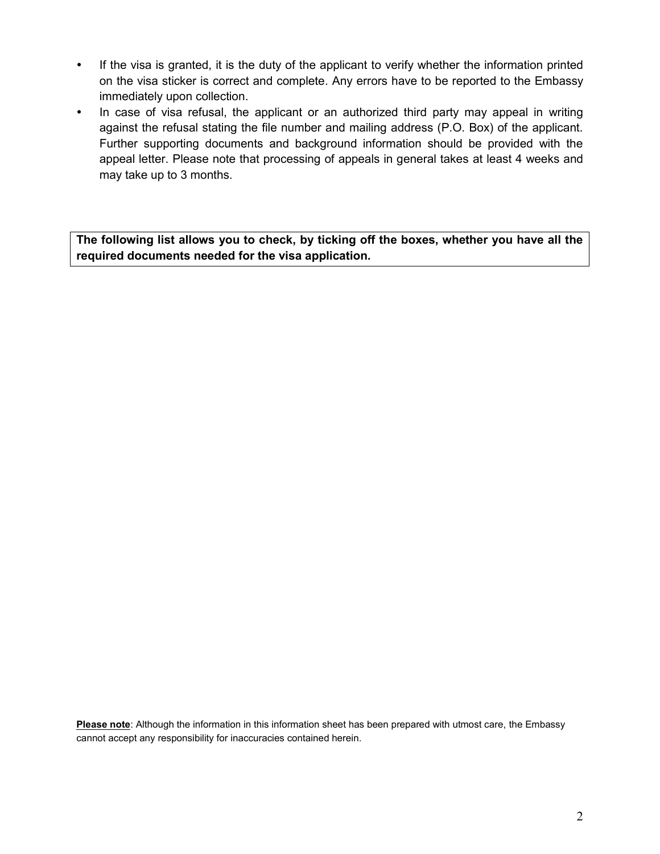- If the visa is granted, it is the duty of the applicant to verify whether the information printed on the visa sticker is correct and complete. Any errors have to be reported to the Embassy immediately upon collection.
- In case of visa refusal, the applicant or an authorized third party may appeal in writing against the refusal stating the file number and mailing address (P.O. Box) of the applicant. Further supporting documents and background information should be provided with the appeal letter. Please note that processing of appeals in general takes at least 4 weeks and may take up to 3 months.

**The following list allows you to check, by ticking off the boxes, whether you have all the required documents needed for the visa application.**

**Please note**: Although the information in this information sheet has been prepared with utmost care, the Embassy cannot accept any responsibility for inaccuracies contained herein.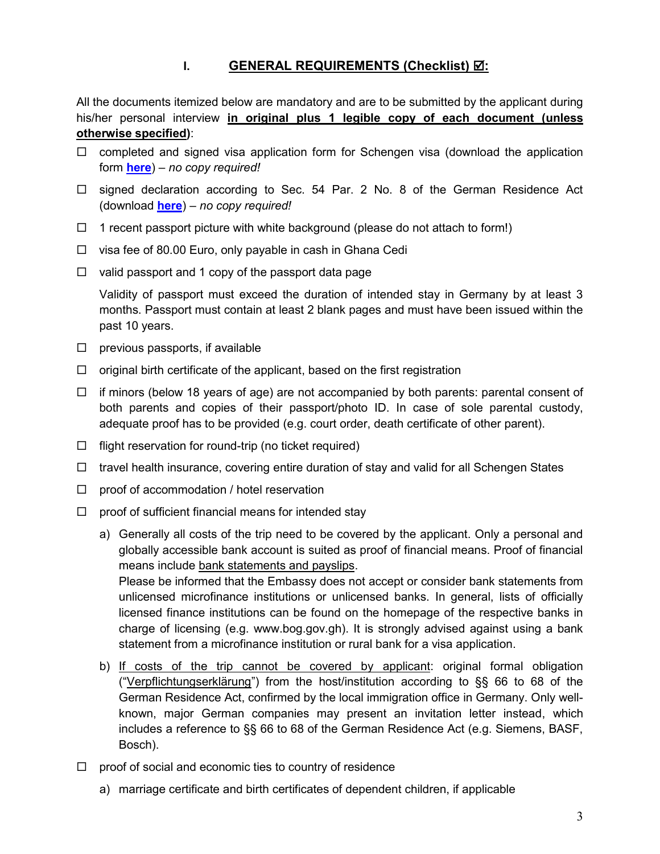# **I. GENERAL REQUIREMENTS (Checklist)**  $\vec{\mathbf{\Omega}}$ **:**

All the documents itemized below are mandatory and are to be submitted by the applicant during his/her personal interview **in original plus 1 legible copy of each document (unless otherwise specified)**:

- $\Box$  completed and signed visa application form for Schengen visa (download the application form **[here](https://accra.diplo.de/gh-en/service/t-application-schengen/1112886)**) *– no copy required!*
- $\Box$  signed declaration according to Sec. 54 Par. 2 No. 8 of the German Residence Act (download **[here](https://accra.diplo.de/blob/1132756/ffce40b30672ff9e46198ac05cdf3c44/schengen-security-questionnaire-data.pdf)**) *– no copy required!*
- $\Box$  1 recent passport picture with white background (please do not attach to form!)
- $\Box$  visa fee of 80.00 Euro, only payable in cash in Ghana Cedi
- $\Box$  valid passport and 1 copy of the passport data page

Validity of passport must exceed the duration of intended stay in Germany by at least 3 months. Passport must contain at least 2 blank pages and must have been issued within the past 10 years.

- $\Box$  previous passports, if available
- $\Box$  original birth certificate of the applicant, based on the first registration
- $\Box$  if minors (below 18 years of age) are not accompanied by both parents: parental consent of both parents and copies of their passport/photo ID. In case of sole parental custody, adequate proof has to be provided (e.g. court order, death certificate of other parent).
- $\Box$  flight reservation for round-trip (no ticket required)
- $\Box$  travel health insurance, covering entire duration of stay and valid for all Schengen States
- $\Box$  proof of accommodation / hotel reservation
- $\Box$  proof of sufficient financial means for intended stay
	- a) Generally all costs of the trip need to be covered by the applicant. Only a personal and globally accessible bank account is suited as proof of financial means. Proof of financial means include bank statements and payslips. Please be informed that the Embassy does not accept or consider bank statements from

unlicensed microfinance institutions or unlicensed banks. In general, lists of officially licensed finance institutions can be found on the homepage of the respective banks in charge of licensing (e.g. www.bog.gov.gh). It is strongly advised against using a bank statement from a microfinance institution or rural bank for a visa application.

- b) If costs of the trip cannot be covered by applicant: original formal obligation ("Verpflichtungserklärung") from the host/institution according to §§ 66 to 68 of the German Residence Act, confirmed by the local immigration office in Germany. Only wellknown, major German companies may present an invitation letter instead, which includes a reference to §§ 66 to 68 of the German Residence Act (e.g. Siemens, BASF, Bosch).
- $\Box$  proof of social and economic ties to country of residence
	- a) marriage certificate and birth certificates of dependent children, if applicable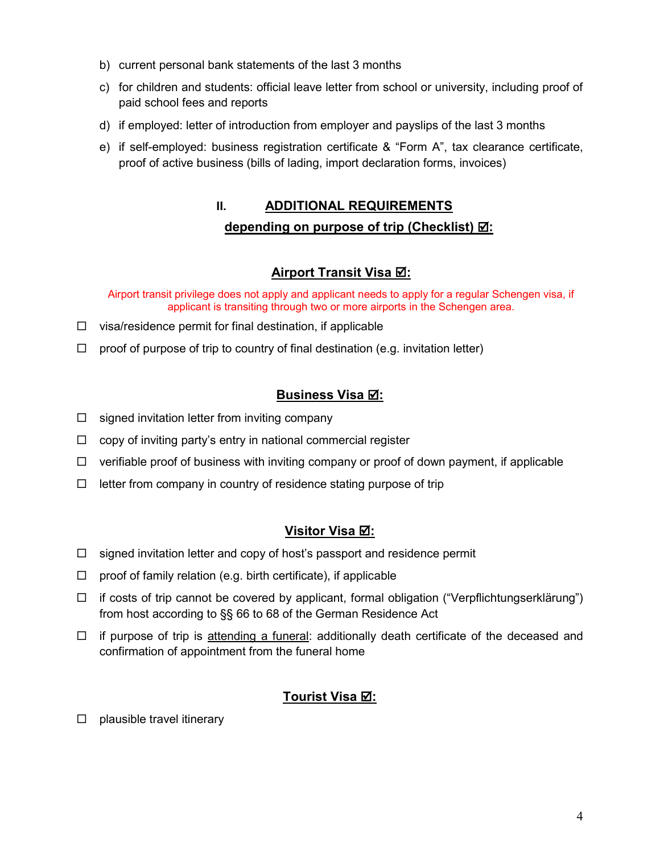- b) current personal bank statements of the last 3 months
- c) for children and students: official leave letter from school or university, including proof of paid school fees and reports
- d) if employed: letter of introduction from employer and payslips of the last 3 months
- e) if self-employed: business registration certificate & "Form A", tax clearance certificate, proof of active business (bills of lading, import declaration forms, invoices)

# **II. ADDITIONAL REQUIREMENTS depending on purpose of trip (Checklist)**  $⊠$ :

# **Airport Transit Visa :**

Airport transit privilege does not apply and applicant needs to apply for a regular Schengen visa, if applicant is transiting through two or more airports in the Schengen area.

- $\Box$  visa/residence permit for final destination, if applicable
- $\Box$  proof of purpose of trip to country of final destination (e.g. invitation letter)

# **Business Visa :**

- $\Box$  signed invitation letter from inviting company
- $\Box$  copy of inviting party's entry in national commercial register
- $\Box$  verifiable proof of business with inviting company or proof of down payment, if applicable
- $\Box$  letter from company in country of residence stating purpose of trip

# **Visitor Visa :**

- $\Box$  signed invitation letter and copy of host's passport and residence permit
- $\Box$  proof of family relation (e.g. birth certificate), if applicable
- $\Box$  if costs of trip cannot be covered by applicant, formal obligation ("Verpflichtungserklärung") from host according to §§ 66 to 68 of the German Residence Act
- $\Box$  if purpose of trip is attending a funeral: additionally death certificate of the deceased and confirmation of appointment from the funeral home

# **Tourist Visa :**

 $\Box$  plausible travel itinerary